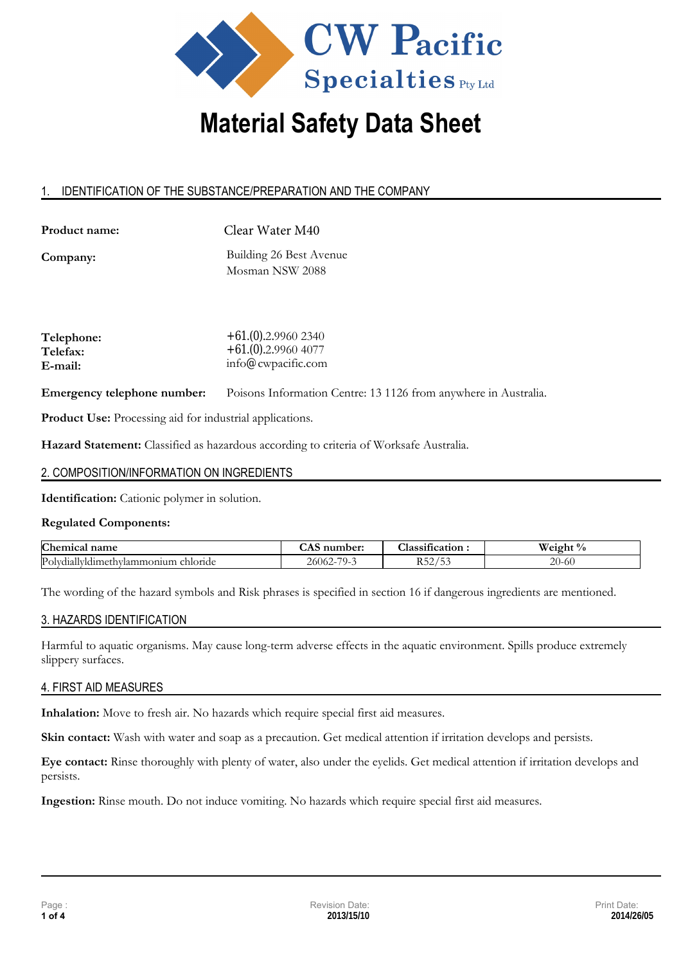

# 1. IDENTIFICATION OF THE SUBSTANCE/PREPARATION AND THE COMPANY

**Product name:** 

Clear Water M40

**Company:** 

Building 26 Best Avenue Mosman NSW 2088

| $+61(0)$ .2.9960 2340 |
|-----------------------|
| $+61(0)$ .2.9960 4077 |
| info@cwpacific.com    |
|                       |

**Emergency telephone number:**  Poisons Information Centre: 13 1126 from anywhere in Australia.

**Product Use:** Processing aid for industrial applications.

**Hazard Statement:** Classified as hazardous according to criteria of Worksafe Australia.

# 2. COMPOSITION/INFORMATION ON INGREDIENTS

**Identification:** Cationic polymer in solution.

# **Regulated Components:**

| Chem<br>name<br>1C2ı                                    | mber | $\cdot$<br>lassification  | $\Omega$ .<br>w<br>$\sqrt{21}$<br>∕ 0 |
|---------------------------------------------------------|------|---------------------------|---------------------------------------|
| Poly<br>chloride<br>.onium<br>uallyldım<br>$m$ neth $m$ | .NU  | ∍ ∼<br>$\sim$<br><u>-</u> | 20-60<br>$\angle U^-$                 |

The wording of the hazard symbols and Risk phrases is specified in section 16 if dangerous ingredients are mentioned.

# 3. HAZARDS IDENTIFICATION

Harmful to aquatic organisms. May cause long-term adverse effects in the aquatic environment. Spills produce extremely slippery surfaces.

# 4. FIRST AID MEASURES

**Inhalation:** Move to fresh air. No hazards which require special first aid measures.

**Skin contact:** Wash with water and soap as a precaution. Get medical attention if irritation develops and persists.

**Eye contact:** Rinse thoroughly with plenty of water, also under the eyelids. Get medical attention if irritation develops and persists.

**Ingestion:** Rinse mouth. Do not induce vomiting. No hazards which require special first aid measures.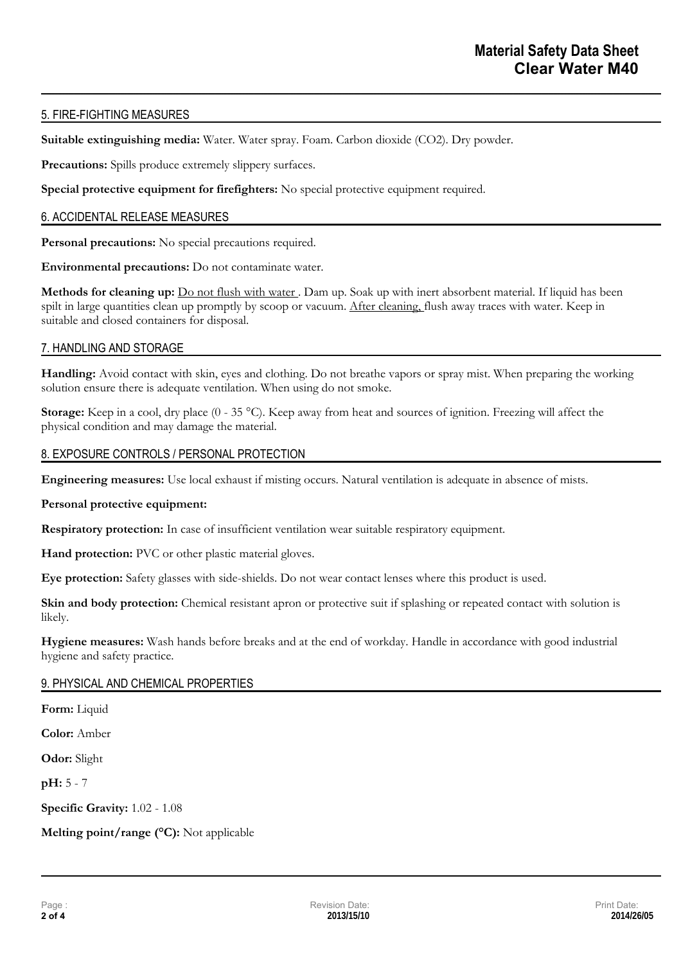# 5. FIRE-FIGHTING MEASURES

**Suitable extinguishing media:** Water. Water spray. Foam. Carbon dioxide (CO2). Dry powder.

Precautions: Spills produce extremely slippery surfaces.

**Special protective equipment for firefighters:** No special protective equipment required.

### 6. ACCIDENTAL RELEASE MEASURES

**Personal precautions:** No special precautions required.

**Environmental precautions:** Do not contaminate water.

**Methods for cleaning up:** Do not flush with water . Dam up. Soak up with inert absorbent material. If liquid has been spilt in large quantities clean up promptly by scoop or vacuum. After cleaning, flush away traces with water. Keep in suitable and closed containers for disposal.

### 7. HANDLING AND STORAGE

**Handling:** Avoid contact with skin, eyes and clothing. Do not breathe vapors or spray mist. When preparing the working solution ensure there is adequate ventilation. When using do not smoke.

**Storage:** Keep in a cool, dry place  $(0 - 35 \degree C)$ . Keep away from heat and sources of ignition. Freezing will affect the physical condition and may damage the material.

### 8. EXPOSURE CONTROLS / PERSONAL PROTECTION

**Engineering measures:** Use local exhaust if misting occurs. Natural ventilation is adequate in absence of mists.

#### **Personal protective equipment:**

**Respiratory protection:** In case of insufficient ventilation wear suitable respiratory equipment.

**Hand protection:** PVC or other plastic material gloves.

**Eye protection:** Safety glasses with side-shields. Do not wear contact lenses where this product is used.

**Skin and body protection:** Chemical resistant apron or protective suit if splashing or repeated contact with solution is likely.

**Hygiene measures:** Wash hands before breaks and at the end of workday. Handle in accordance with good industrial hygiene and safety practice.

# 9. PHYSICAL AND CHEMICAL PROPERTIES

**Form:** Liquid

**Color:** Amber

**Odor:** Slight

**pH:** 5 - 7

**Specific Gravity:** 1.02 - 1.08

**Melting point/range (°C):** Not applicable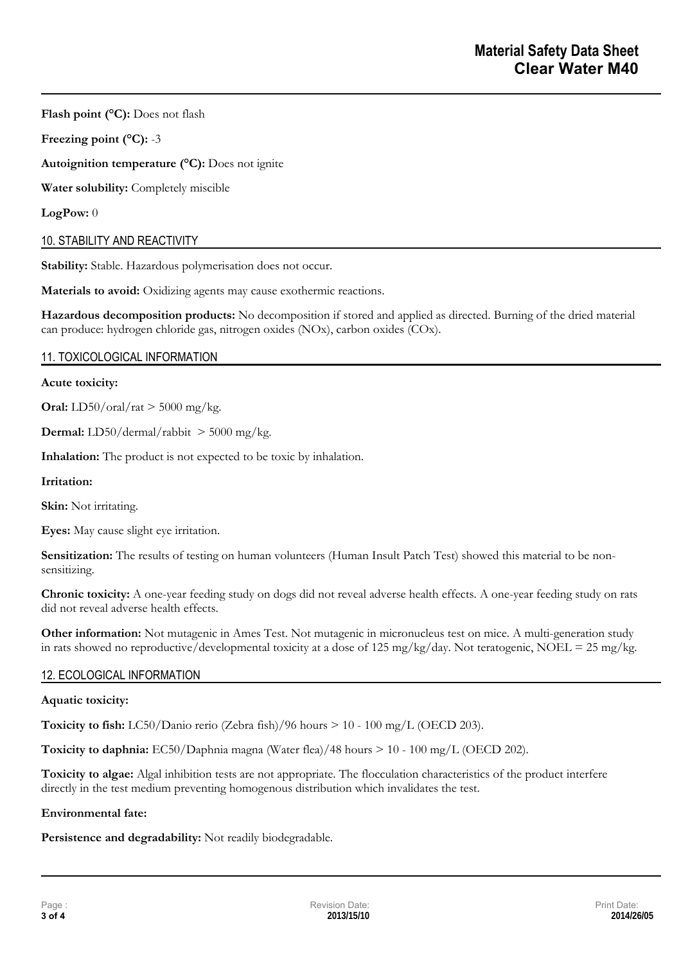**Flash point (°C):** Does not flash

**Freezing point (°C):** -3

**Autoignition temperature (°C):** Does not ignite

**Water solubility:** Completely miscible

**LogPow:** 0

# 10. STABILITY AND REACTIVITY

Stability: Stable. Hazardous polymerisation does not occur.

**Materials to avoid:** Oxidizing agents may cause exothermic reactions.

**Hazardous decomposition products:** No decomposition if stored and applied as directed. Burning of the dried material can produce: hydrogen chloride gas, nitrogen oxides (NOx), carbon oxides (COx).

# 11. TOXICOLOGICAL INFORMATION

### **Acute toxicity:**

**Oral:**  $LD50/oral/rat > 5000 mg/kg$ .

**Dermal:** LD50/dermal/rabbit > 5000 mg/kg.

**Inhalation:** The product is not expected to be toxic by inhalation.

**Irritation:** 

**Skin:** Not irritating.

**Eyes:** May cause slight eye irritation.

**Sensitization:** The results of testing on human volunteers (Human Insult Patch Test) showed this material to be nonsensitizing.

**Chronic toxicity:** A one-year feeding study on dogs did not reveal adverse health effects. A one-year feeding study on rats did not reveal adverse health effects.

**Other information:** Not mutagenic in Ames Test. Not mutagenic in micronucleus test on mice. A multi-generation study in rats showed no reproductive/developmental toxicity at a dose of 125 mg/kg/day. Not teratogenic, NOEL = 25 mg/kg.

# 12. ECOLOGICAL INFORMATION

# **Aquatic toxicity:**

**Toxicity to fish:** LC50/Danio rerio (Zebra fish)/96 hours > 10 - 100 mg/L (OECD 203).

**Toxicity to daphnia:** EC50/Daphnia magna (Water flea)/48 hours > 10 - 100 mg/L (OECD 202).

**Toxicity to algae:** Algal inhibition tests are not appropriate. The flocculation characteristics of the product interfere directly in the test medium preventing homogenous distribution which invalidates the test.

# **Environmental fate:**

**Persistence and degradability:** Not readily biodegradable.